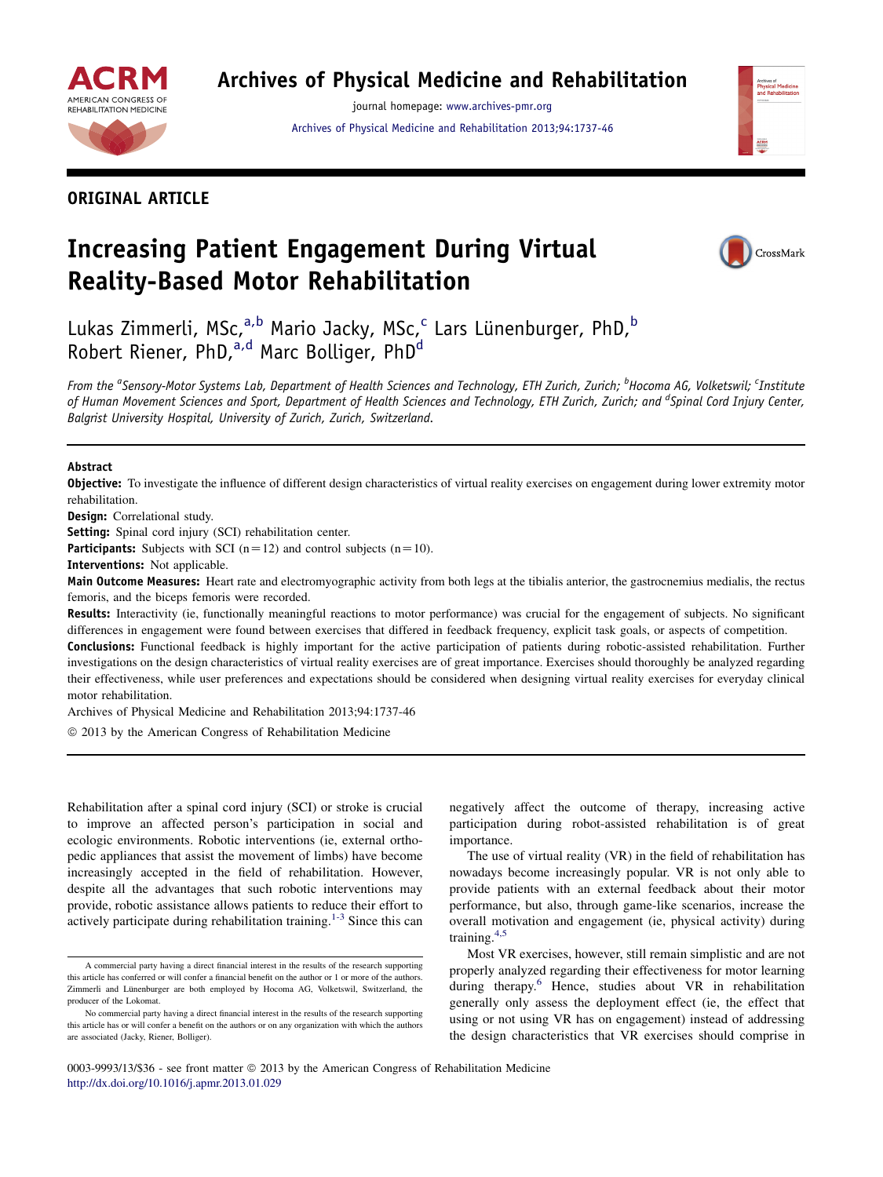

# Archives of Physical Medicine and Rehabilitation

journal homepage: [www.archives-pmr.org](http://www.archives-pmr.org) [Archives of Physical Medicine and Rehabilitation 2013;94:1737-46](http://dx.doi.org/10.1016/j.apmr.2013.01.029)

# ORIGINAL ARTICLE

# Increasing Patient Engagement During Virtual Reality-Based Motor Rehabilitation



Lukas Zimmerli, MSc,<sup>a,b</sup> Mario Jacky, MSc,<sup>c</sup> Lars Lünenburger, PhD,<sup>b</sup> Robert Riener, PhD, $a,d$  Marc Bolliger, PhD<sup>d</sup>

From the <sup>a</sup>Sensory-Motor Systems Lab, Department of Health Sciences and Technology, ETH Zurich, Zurich; <sup>b</sup>Hocoma AG, Volketswil; <sup>c</sup>Institute of Human Movement Sciences and Sport, Department of Health Sciences and Technology, ETH Zurich, Zurich; and <sup>d</sup>Spinal Cord Injury Center, Balgrist University Hospital, University of Zurich, Zurich, Switzerland.

# Abstract

Objective: To investigate the influence of different design characteristics of virtual reality exercises on engagement during lower extremity motor rehabilitation.

Design: Correlational study.

Setting: Spinal cord injury (SCI) rehabilitation center.

**Participants:** Subjects with SCI ( $n=12$ ) and control subjects ( $n=10$ ).

Interventions: Not applicable.

Main Outcome Measures: Heart rate and electromyographic activity from both legs at the tibialis anterior, the gastrocnemius medialis, the rectus femoris, and the biceps femoris were recorded.

Results: Interactivity (ie, functionally meaningful reactions to motor performance) was crucial for the engagement of subjects. No significant differences in engagement were found between exercises that differed in feedback frequency, explicit task goals, or aspects of competition.

Conclusions: Functional feedback is highly important for the active participation of patients during robotic-assisted rehabilitation. Further investigations on the design characteristics of virtual reality exercises are of great importance. Exercises should thoroughly be analyzed regarding their effectiveness, while user preferences and expectations should be considered when designing virtual reality exercises for everyday clinical motor rehabilitation.

Archives of Physical Medicine and Rehabilitation 2013;94:1737-46

 $©$  2013 by the American Congress of Rehabilitation Medicine

Rehabilitation after a spinal cord injury (SCI) or stroke is crucial to improve an affected person's participation in social and ecologic environments. Robotic interventions (ie, external orthopedic appliances that assist the movement of limbs) have become increasingly accepted in the field of rehabilitation. However, despite all the advantages that such robotic interventions may provide, robotic assistance allows patients to reduce their effort to actively participate during rehabilitation training.<sup>[1-3](#page-8-0)</sup> Since this can negatively affect the outcome of therapy, increasing active participation during robot-assisted rehabilitation is of great importance.

The use of virtual reality (VR) in the field of rehabilitation has nowadays become increasingly popular. VR is not only able to provide patients with an external feedback about their motor performance, but also, through game-like scenarios, increase the overall motivation and engagement (ie, physical activity) during training.[4,5](#page-8-0)

Most VR exercises, however, still remain simplistic and are not properly analyzed regarding their effectiveness for motor learning during therapy.<sup>[6](#page-8-0)</sup> Hence, studies about VR in rehabilitation generally only assess the deployment effect (ie, the effect that using or not using VR has on engagement) instead of addressing the design characteristics that VR exercises should comprise in

0003-9993/13/\$36 - see front matter © 2013 by the American Congress of Rehabilitation Medicine <http://dx.doi.org/10.1016/j.apmr.2013.01.029>

A commercial party having a direct financial interest in the results of the research supporting this article has conferred or will confer a financial benefit on the author or 1 or more of the authors. Zimmerli and Lünenburger are both employed by Hocoma AG, Volketswil, Switzerland, the producer of the Lokomat.

No commercial party having a direct financial interest in the results of the research supporting this article has or will confer a benefit on the authors or on any organization with which the authors are associated (Jacky, Riener, Bolliger).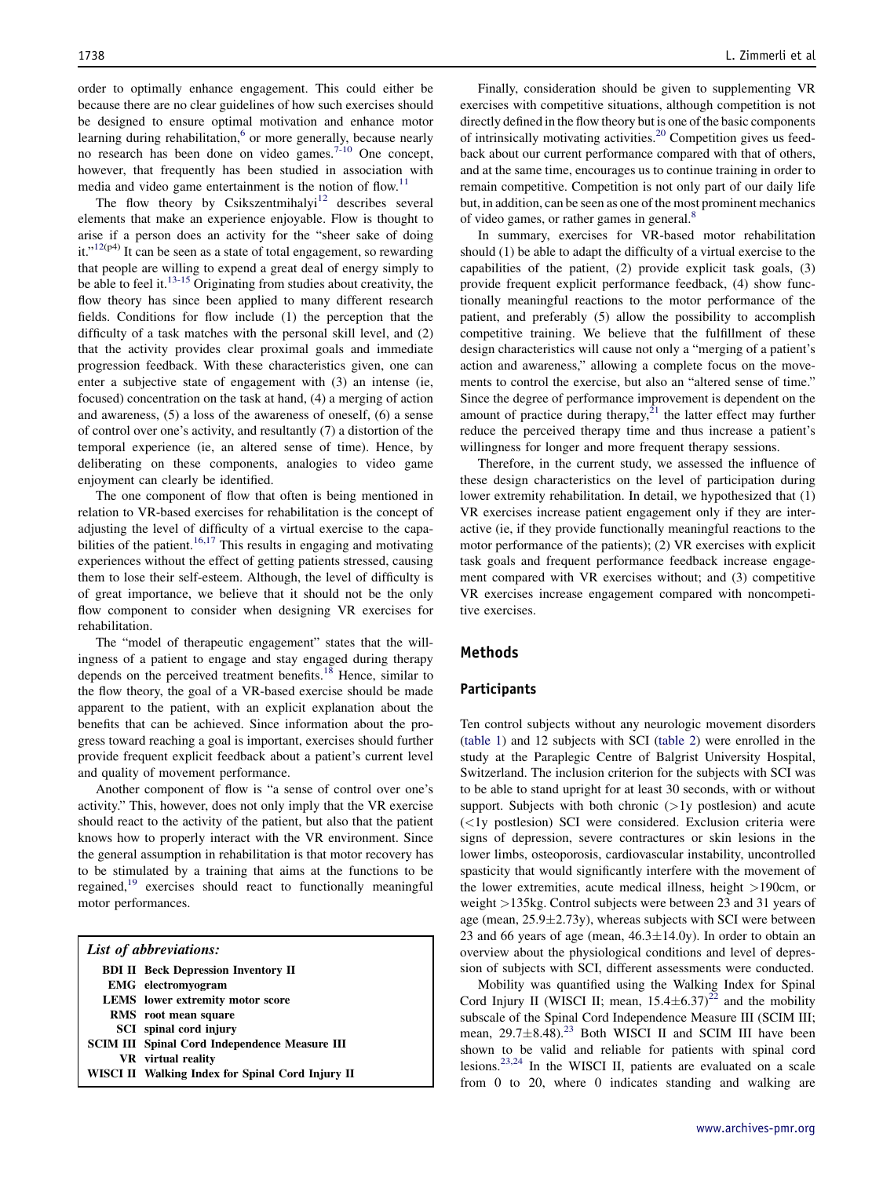order to optimally enhance engagement. This could either be because there are no clear guidelines of how such exercises should be designed to ensure optimal motivation and enhance motor learning during rehabilitation,<sup>[6](#page-8-0)</sup> or more generally, because nearly no research has been done on video games.<sup>[7-10](#page-8-0)</sup> One concept, however, that frequently has been studied in association with media and video game entertainment is the notion of flow.<sup>[11](#page-8-0)</sup>

The flow theory by Csikszentmihalyi $12$  describes several elements that make an experience enjoyable. Flow is thought to arise if a person does an activity for the "sheer sake of doing it." $12(p4)$  It can be seen as a state of total engagement, so rewarding that people are willing to expend a great deal of energy simply to be able to feel it[.13-15](#page-8-0) Originating from studies about creativity, the flow theory has since been applied to many different research fields. Conditions for flow include (1) the perception that the difficulty of a task matches with the personal skill level, and (2) that the activity provides clear proximal goals and immediate progression feedback. With these characteristics given, one can enter a subjective state of engagement with (3) an intense (ie, focused) concentration on the task at hand, (4) a merging of action and awareness, (5) a loss of the awareness of oneself, (6) a sense of control over one's activity, and resultantly (7) a distortion of the temporal experience (ie, an altered sense of time). Hence, by deliberating on these components, analogies to video game enjoyment can clearly be identified.

The one component of flow that often is being mentioned in relation to VR-based exercises for rehabilitation is the concept of adjusting the level of difficulty of a virtual exercise to the capa-bilities of the patient.<sup>[16,17](#page-8-0)</sup> This results in engaging and motivating experiences without the effect of getting patients stressed, causing them to lose their self-esteem. Although, the level of difficulty is of great importance, we believe that it should not be the only flow component to consider when designing VR exercises for rehabilitation.

The "model of therapeutic engagement" states that the willingness of a patient to engage and stay engaged during therapy depends on the perceived treatment benefits.<sup>[18](#page-8-0)</sup> Hence, similar to the flow theory, the goal of a VR-based exercise should be made apparent to the patient, with an explicit explanation about the benefits that can be achieved. Since information about the progress toward reaching a goal is important, exercises should further provide frequent explicit feedback about a patient's current level and quality of movement performance.

Another component of flow is "a sense of control over one's activity." This, however, does not only imply that the VR exercise should react to the activity of the patient, but also that the patient knows how to properly interact with the VR environment. Since the general assumption in rehabilitation is that motor recovery has to be stimulated by a training that aims at the functions to be regained,<sup>[19](#page-8-0)</sup> exercises should react to functionally meaningful motor performances.

| List of abbreviations: |                                                      |  |  |  |  |  |  |
|------------------------|------------------------------------------------------|--|--|--|--|--|--|
|                        | <b>BDI II Beck Depression Inventory II</b>           |  |  |  |  |  |  |
|                        | <b>EMG</b> electromyogram                            |  |  |  |  |  |  |
|                        | <b>LEMS</b> lower extremity motor score              |  |  |  |  |  |  |
|                        | RMS root mean square                                 |  |  |  |  |  |  |
|                        | SCI spinal cord injury                               |  |  |  |  |  |  |
|                        | <b>SCIM III</b> Spinal Cord Independence Measure III |  |  |  |  |  |  |
|                        | VR virtual reality                                   |  |  |  |  |  |  |
|                        | WISCI II Walking Index for Spinal Cord Injury II     |  |  |  |  |  |  |

Finally, consideration should be given to supplementing VR exercises with competitive situations, although competition is not directly defined in the flow theory but is one of the basic components of intrinsically motivating activities.<sup>20</sup> Competition gives us feedback about our current performance compared with that of others, and at the same time, encourages us to continue training in order to remain competitive. Competition is not only part of our daily life but, in addition, can be seen as one of the most prominent mechanics of video games, or rather games in general.[8](#page-8-0)

In summary, exercises for VR-based motor rehabilitation should (1) be able to adapt the difficulty of a virtual exercise to the capabilities of the patient, (2) provide explicit task goals, (3) provide frequent explicit performance feedback, (4) show functionally meaningful reactions to the motor performance of the patient, and preferably (5) allow the possibility to accomplish competitive training. We believe that the fulfillment of these design characteristics will cause not only a "merging of a patient's action and awareness," allowing a complete focus on the movements to control the exercise, but also an "altered sense of time." Since the degree of performance improvement is dependent on the amount of practice during therapy, $2<sup>1</sup>$  the latter effect may further reduce the perceived therapy time and thus increase a patient's willingness for longer and more frequent therapy sessions.

Therefore, in the current study, we assessed the influence of these design characteristics on the level of participation during lower extremity rehabilitation. In detail, we hypothesized that (1) VR exercises increase patient engagement only if they are interactive (ie, if they provide functionally meaningful reactions to the motor performance of the patients); (2) VR exercises with explicit task goals and frequent performance feedback increase engagement compared with VR exercises without; and (3) competitive VR exercises increase engagement compared with noncompetitive exercises.

# Methods

#### **Participants**

Ten control subjects without any neurologic movement disorders ([table 1\)](#page-2-0) and 12 subjects with SCI [\(table 2](#page-2-0)) were enrolled in the study at the Paraplegic Centre of Balgrist University Hospital, Switzerland. The inclusion criterion for the subjects with SCI was to be able to stand upright for at least 30 seconds, with or without support. Subjects with both chronic  $(>\; 1y$  postlesion) and acute (<1y postlesion) SCI were considered. Exclusion criteria were signs of depression, severe contractures or skin lesions in the lower limbs, osteoporosis, cardiovascular instability, uncontrolled spasticity that would significantly interfere with the movement of the lower extremities, acute medical illness, height >190cm, or weight >135kg. Control subjects were between 23 and 31 years of age (mean,  $25.9 \pm 2.73$ y), whereas subjects with SCI were between 23 and 66 years of age (mean,  $46.3 \pm 14.0$ y). In order to obtain an overview about the physiological conditions and level of depression of subjects with SCI, different assessments were conducted.

Mobility was quantified using the Walking Index for Spinal Cord Injury II (WISCI II; mean,  $15.4 \pm 6.37$ )<sup>[22](#page-8-0)</sup> and the mobility subscale of the Spinal Cord Independence Measure III (SCIM III; mean,  $29.7\pm8.48$ .<sup>[23](#page-8-0)</sup> Both WISCI II and SCIM III have been shown to be valid and reliable for patients with spinal cord lesions.[23,24](#page-8-0) In the WISCI II, patients are evaluated on a scale from 0 to 20, where 0 indicates standing and walking are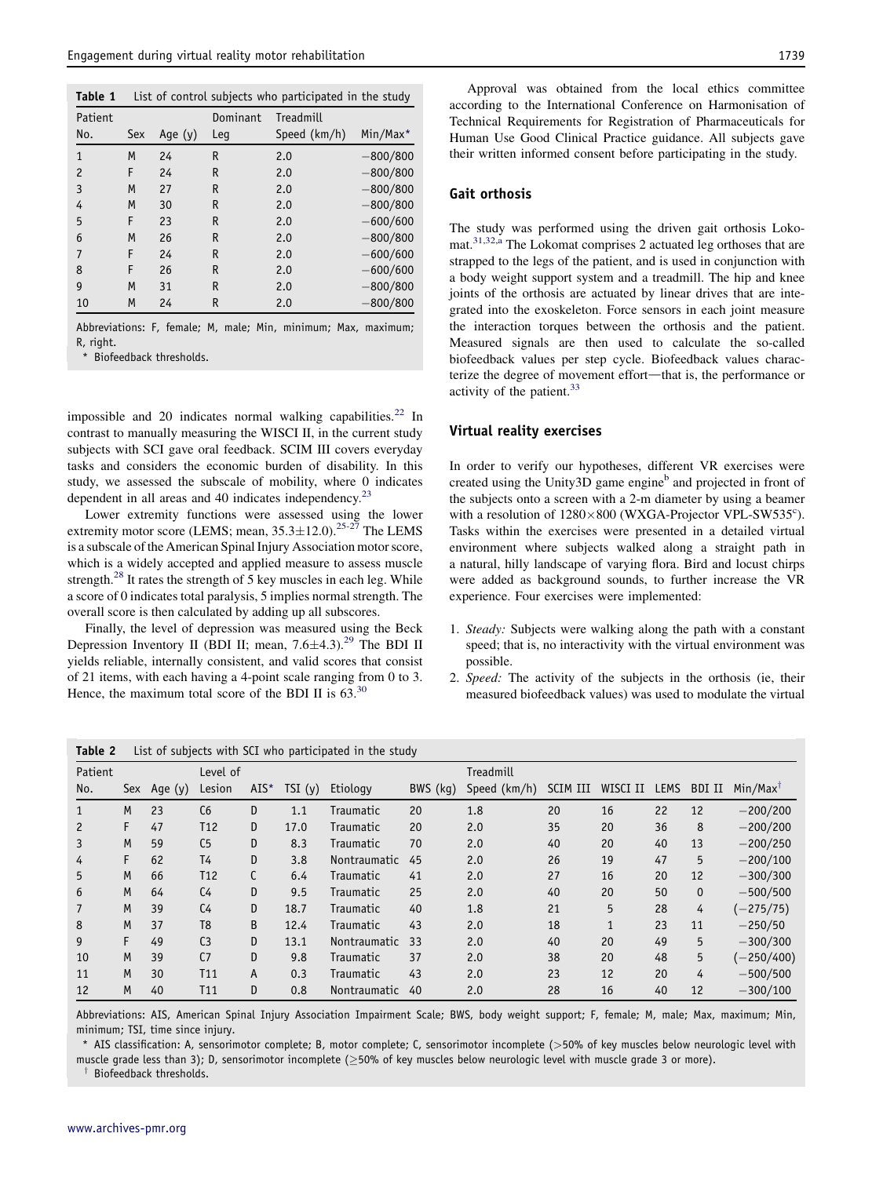<span id="page-2-0"></span>

| <b>Table 1</b> List of control subjects who participated in the study |  |  |  |
|-----------------------------------------------------------------------|--|--|--|
|-----------------------------------------------------------------------|--|--|--|

| Patient<br>No. | Sex | Age $(y)$ | Dominant<br>Leq | Treadmill<br>Speed (km/h) | $Min/Max^*$ |
|----------------|-----|-----------|-----------------|---------------------------|-------------|
| 1              | M   | 24        | R               | 2.0                       | $-800/800$  |
| 2              | F   | 24        | R               | 2.0                       | $-800/800$  |
| 3              | M   | 27        | R               | 2.0                       | $-800/800$  |
| 4              | M   | 30        | R               | 2.0                       | $-800/800$  |
| 5              | F   | 23        | R               | 2.0                       | $-600/600$  |
| 6              | M   | 26        | R               | 2.0                       | $-800/800$  |
| 7              | F   | 24        | R               | 2.0                       | $-600/600$  |
| 8              | F   | 26        | R               | 2.0                       | $-600/600$  |
| 9              | M   | 31        | R               | 2.0                       | $-800/800$  |
| 10             | M   | 24        | R               | 2.0                       | $-800/800$  |

Abbreviations: F, female; M, male; Min, minimum; Max, maximum; R, right.

\* Biofeedback thresholds.

impossible and 20 indicates normal walking capabilities. $22$  In contrast to manually measuring the WISCI II, in the current study subjects with SCI gave oral feedback. SCIM III covers everyday tasks and considers the economic burden of disability. In this study, we assessed the subscale of mobility, where 0 indicates dependent in all areas and 40 indicates independency. $^{23}$  $^{23}$  $^{23}$ 

Lower extremity functions were assessed using the lower extremity motor score (LEMS; mean,  $35.3 \pm 12.0$ ).<sup>[25-27](#page-8-0)</sup> The LEMS is a subscale of the American Spinal Injury Association motor score, which is a widely accepted and applied measure to assess muscle strength. $^{28}$  $^{28}$  $^{28}$  It rates the strength of 5 key muscles in each leg. While a score of 0 indicates total paralysis, 5 implies normal strength. The overall score is then calculated by adding up all subscores.

Finally, the level of depression was measured using the Beck Depression Inventory II (BDI II; mean,  $7.6 \pm 4.3$ ).<sup>[29](#page-8-0)</sup> The BDI II yields reliable, internally consistent, and valid scores that consist of 21 items, with each having a 4-point scale ranging from 0 to 3. Hence, the maximum total score of the BDI II is  $63<sup>30</sup>$ 

Approval was obtained from the local ethics committee according to the International Conference on Harmonisation of Technical Requirements for Registration of Pharmaceuticals for Human Use Good Clinical Practice guidance. All subjects gave their written informed consent before participating in the study.

## Gait orthosis

The study was performed using the driven gait orthosis Lokomat[.31,32](#page-8-0),a The Lokomat comprises 2 actuated leg orthoses that are strapped to the legs of the patient, and is used in conjunction with a body weight support system and a treadmill. The hip and knee joints of the orthosis are actuated by linear drives that are integrated into the exoskeleton. Force sensors in each joint measure the interaction torques between the orthosis and the patient. Measured signals are then used to calculate the so-called biofeedback values per step cycle. Biofeedback values characterize the degree of movement effort—that is, the performance or activity of the patient.<sup>[33](#page-9-0)</sup>

#### Virtual reality exercises

In order to verify our hypotheses, different VR exercises were created using the Unity3D game engine<sup>b</sup> and projected in front of the subjects onto a screen with a 2-m diameter by using a beamer with a resolution of  $1280 \times 800$  (WXGA-Projector VPL-SW535<sup>c</sup>). Tasks within the exercises were presented in a detailed virtual environment where subjects walked along a straight path in a natural, hilly landscape of varying flora. Bird and locust chirps were added as background sounds, to further increase the VR experience. Four exercises were implemented:

- 1. Steady: Subjects were walking along the path with a constant speed; that is, no interactivity with the virtual environment was possible.
- 2. Speed: The activity of the subjects in the orthosis (ie, their measured biofeedback values) was used to modulate the virtual

| Patient        |     |         | Level of        |         |        |                     |            | Treadmill    |          |          |             |              |                     |
|----------------|-----|---------|-----------------|---------|--------|---------------------|------------|--------------|----------|----------|-------------|--------------|---------------------|
| No.            | Sex | Age (y) | Lesion          | $AIS^*$ | TSI(y) | Etiology            | $BWS$ (kg) | Speed (km/h) | SCIM III | WISCI II | <b>LEMS</b> | BDI II       | $Min/Max^{\dagger}$ |
|                | M   | 23      | C <sub>6</sub>  | D       | 1.1    | Traumatic           | 20         | 1.8          | 20       | 16       | 22          | 12           | $-200/200$          |
| $\overline{c}$ | F   | 47      | T <sub>12</sub> | D       | 17.0   | Traumatic           | 20         | 2.0          | 35       | 20       | 36          | 8            | $-200/200$          |
| 3              | M   | 59      | C <sub>5</sub>  | D       | 8.3    | Traumatic           | 70         | 2.0          | 40       | 20       | 40          | 13           | $-200/250$          |
| 4              | F   | 62      | <b>T4</b>       | D       | 3.8    | Nontraumatic        | 45         | 2.0          | 26       | 19       | 47          | 5            | $-200/100$          |
| 5              | M   | 66      | T <sub>12</sub> |         | 6.4    | Traumatic           | 41         | 2.0          | 27       | 16       | 20          | 12           | $-300/300$          |
| 6              | M   | 64      | C4              | D       | 9.5    | Traumatic           | 25         | 2.0          | 40       | 20       | 50          | $\mathbf{0}$ | $-500/500$          |
|                | M   | 39      | C <sub>4</sub>  | D       | 18.7   | Traumatic           | 40         | 1.8          | 21       | 5        | 28          | 4            | $(-275/75)$         |
| 8              | M   | 37      | T <sub>8</sub>  | B       | 12.4   | Traumatic           | 43         | 2.0          | 18       | 1        | 23          | 11           | $-250/50$           |
| 9              | F   | 49      | C <sub>3</sub>  | D       | 13.1   | Nontraumatic        | 33         | 2.0          | 40       | 20       | 49          | 5            | $-300/300$          |
| 10             | M   | 39      | C <sub>7</sub>  | D       | 9.8    | <b>Traumatic</b>    | 37         | 2.0          | 38       | 20       | 48          | 5            | $(-250/400)$        |
| 11             | M   | 30      | T11             | A       | 0.3    | Traumatic           | 43         | 2.0          | 23       | 12       | 20          | 4            | $-500/500$          |
| 12             | M   | 40      | T11             | D       | 0.8    | <b>Nontraumatic</b> | 40         | 2.0          | 28       | 16       | 40          | 12           | $-300/100$          |

Table 2 List of subjects with SCI who participated in the study

Abbreviations: AIS, American Spinal Injury Association Impairment Scale; BWS, body weight support; F, female; M, male; Max, maximum; Min, minimum; TSI, time since injury.

AIS classification: A, sensorimotor complete; B, motor complete; C, sensorimotor incomplete (>50% of key muscles below neurologic level with muscle grade less than 3); D, sensorimotor incomplete (>50% of key muscles below neurologic level with muscle grade 3 or more).

Biofeedback thresholds.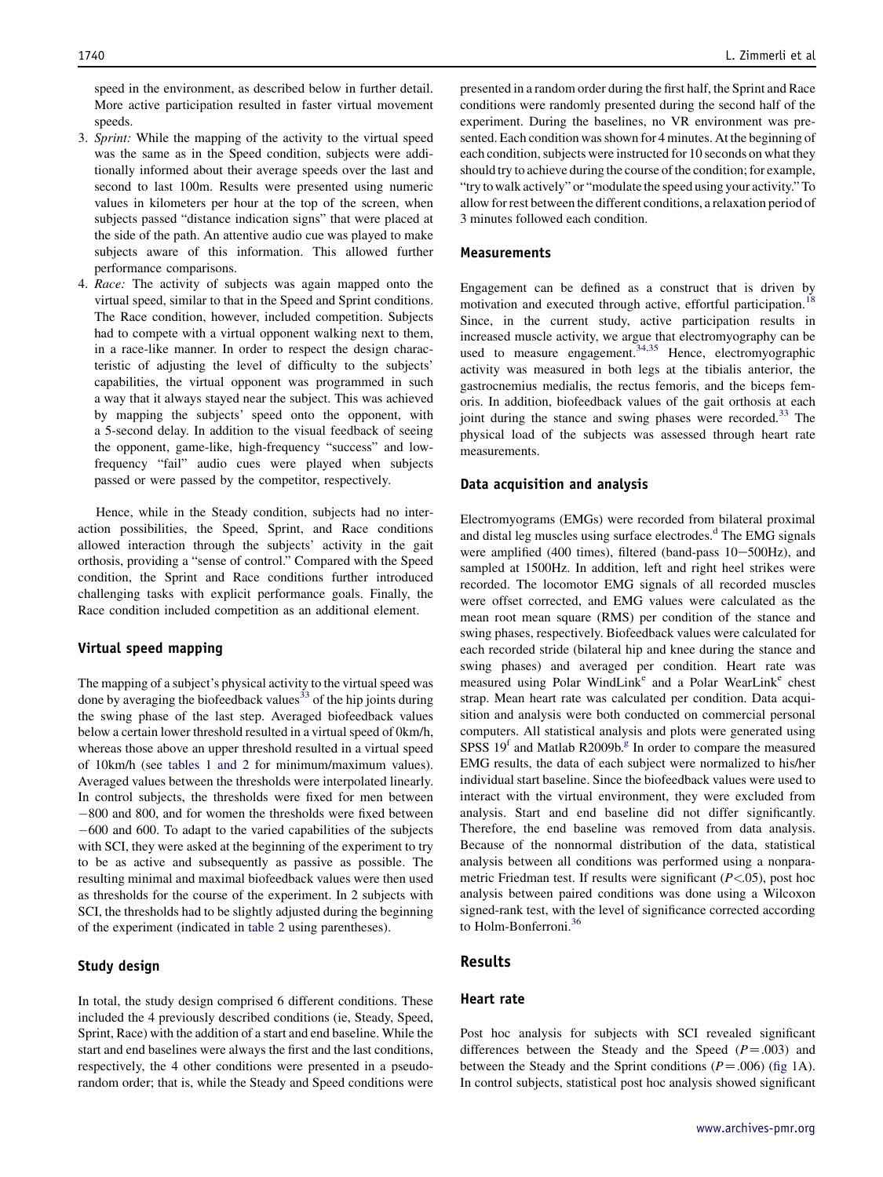speed in the environment, as described below in further detail. More active participation resulted in faster virtual movement speeds.

- 3. Sprint: While the mapping of the activity to the virtual speed was the same as in the Speed condition, subjects were additionally informed about their average speeds over the last and second to last 100m. Results were presented using numeric values in kilometers per hour at the top of the screen, when subjects passed "distance indication signs" that were placed at the side of the path. An attentive audio cue was played to make subjects aware of this information. This allowed further performance comparisons.
- 4. Race: The activity of subjects was again mapped onto the virtual speed, similar to that in the Speed and Sprint conditions. The Race condition, however, included competition. Subjects had to compete with a virtual opponent walking next to them, in a race-like manner. In order to respect the design characteristic of adjusting the level of difficulty to the subjects' capabilities, the virtual opponent was programmed in such a way that it always stayed near the subject. This was achieved by mapping the subjects' speed onto the opponent, with a 5-second delay. In addition to the visual feedback of seeing the opponent, game-like, high-frequency "success" and lowfrequency "fail" audio cues were played when subjects passed or were passed by the competitor, respectively.

Hence, while in the Steady condition, subjects had no interaction possibilities, the Speed, Sprint, and Race conditions allowed interaction through the subjects' activity in the gait orthosis, providing a "sense of control." Compared with the Speed condition, the Sprint and Race conditions further introduced challenging tasks with explicit performance goals. Finally, the Race condition included competition as an additional element.

#### Virtual speed mapping

The mapping of a subject's physical activity to the virtual speed was done by averaging the biofeedback values<sup>[33](#page-9-0)</sup> of the hip joints during the swing phase of the last step. Averaged biofeedback values below a certain lower threshold resulted in a virtual speed of 0km/h, whereas those above an upper threshold resulted in a virtual speed of 10km/h (see [tables 1 and 2](#page-2-0) for minimum/maximum values). Averaged values between the thresholds were interpolated linearly. In control subjects, the thresholds were fixed for men between  $-800$  and 800, and for women the thresholds were fixed between  $-600$  and 600. To adapt to the varied capabilities of the subjects with SCI, they were asked at the beginning of the experiment to try to be as active and subsequently as passive as possible. The resulting minimal and maximal biofeedback values were then used as thresholds for the course of the experiment. In 2 subjects with SCI, the thresholds had to be slightly adjusted during the beginning of the experiment (indicated in [table 2](#page-2-0) using parentheses).

### Study design

In total, the study design comprised 6 different conditions. These included the 4 previously described conditions (ie, Steady, Speed, Sprint, Race) with the addition of a start and end baseline. While the start and end baselines were always the first and the last conditions, respectively, the 4 other conditions were presented in a pseudorandom order; that is, while the Steady and Speed conditions were presented in a random order during the first half, the Sprint and Race conditions were randomly presented during the second half of the experiment. During the baselines, no VR environment was presented. Each condition was shown for 4 minutes. At the beginning of each condition, subjects were instructed for 10 seconds on what they should try to achieve during the course of the condition; for example, "try to walk actively" or "modulate the speed using your activity." To allow for rest between the different conditions, a relaxation period of 3 minutes followed each condition.

#### **Measurements**

Engagement can be defined as a construct that is driven by motivation and executed through active, effortful participation.<sup>[18](#page-8-0)</sup> Since, in the current study, active participation results in increased muscle activity, we argue that electromyography can be used to measure engagement.  $34,35$  Hence, electromyographic activity was measured in both legs at the tibialis anterior, the gastrocnemius medialis, the rectus femoris, and the biceps femoris. In addition, biofeedback values of the gait orthosis at each joint during the stance and swing phases were recorded.<sup>[33](#page-9-0)</sup> The physical load of the subjects was assessed through heart rate measurements.

#### Data acquisition and analysis

Electromyograms (EMGs) were recorded from bilateral proximal and distal leg muscles using surface electrodes.<sup>d</sup> The EMG signals were amplified  $(400 \text{ times})$ , filtered  $(b \text{and-pass } 10-500 \text{Hz})$ , and sampled at 1500Hz. In addition, left and right heel strikes were recorded. The locomotor EMG signals of all recorded muscles were offset corrected, and EMG values were calculated as the mean root mean square (RMS) per condition of the stance and swing phases, respectively. Biofeedback values were calculated for each recorded stride (bilateral hip and knee during the stance and swing phases) and averaged per condition. Heart rate was measured using Polar WindLink<sup>e</sup> and a Polar WearLink<sup>e</sup> chest strap. Mean heart rate was calculated per condition. Data acquisition and analysis were both conducted on commercial personal computers. All statistical analysis and plots were generated using SPSS  $19<sup>t</sup>$  and Matlab R2009b.<sup>g</sup> In order to compare the measured EMG results, the data of each subject were normalized to his/her individual start baseline. Since the biofeedback values were used to interact with the virtual environment, they were excluded from analysis. Start and end baseline did not differ significantly. Therefore, the end baseline was removed from data analysis. Because of the nonnormal distribution of the data, statistical analysis between all conditions was performed using a nonparametric Friedman test. If results were significant  $(P<.05)$ , post hoc analysis between paired conditions was done using a Wilcoxon signed-rank test, with the level of significance corrected according to Holm-Bonferroni.<sup>[36](#page-9-0)</sup>

# Results

# Heart rate

Post hoc analysis for subjects with SCI revealed significant differences between the Steady and the Speed  $(P=0.003)$  and between the Steady and the Sprint conditions  $(P = .006)$  [\(fig 1A](#page-4-0)). In control subjects, statistical post hoc analysis showed significant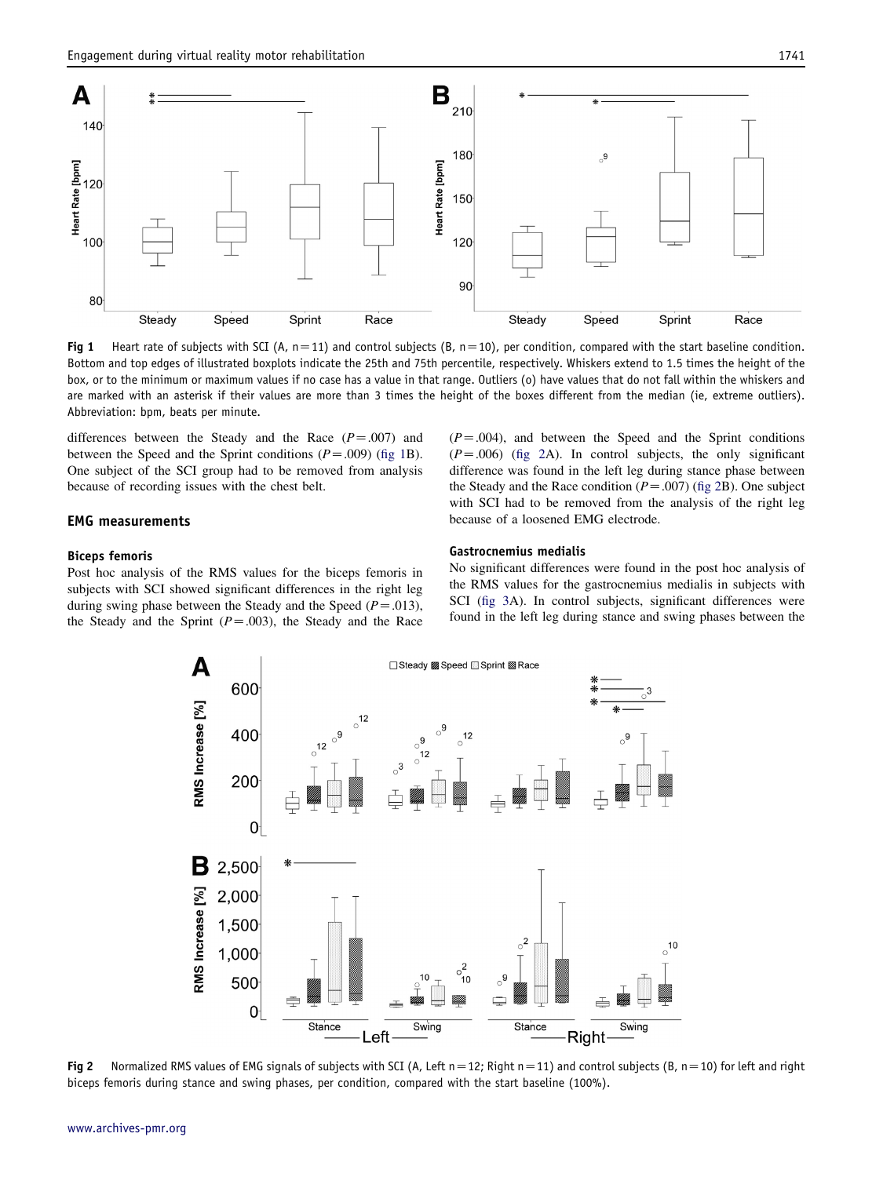<span id="page-4-0"></span>

Fig 1 Heart rate of subjects with SCI (A,  $n=11$ ) and control subjects (B,  $n=10$ ), per condition, compared with the start baseline condition. Bottom and top edges of illustrated boxplots indicate the 25th and 75th percentile, respectively. Whiskers extend to 1.5 times the height of the box, or to the minimum or maximum values if no case has a value in that range. Outliers (o) have values that do not fall within the whiskers and are marked with an asterisk if their values are more than 3 times the height of the boxes different from the median (ie, extreme outliers). Abbreviation: bpm, beats per minute.

differences between the Steady and the Race  $(P = .007)$  and between the Speed and the Sprint conditions  $(P = .009)$  (fig 1B). One subject of the SCI group had to be removed from analysis because of recording issues with the chest belt.

#### EMG measurements

#### Biceps femoris

Post hoc analysis of the RMS values for the biceps femoris in subjects with SCI showed significant differences in the right leg during swing phase between the Steady and the Speed ( $P = .013$ ), the Steady and the Sprint  $(P=.003)$ , the Steady and the Race  $(P = .004)$ , and between the Speed and the Sprint conditions  $(P = .006)$  (fig 2A). In control subjects, the only significant difference was found in the left leg during stance phase between the Steady and the Race condition  $(P=.007)$  (fig 2B). One subject with SCI had to be removed from the analysis of the right leg because of a loosened EMG electrode.

## Gastrocnemius medialis

No significant differences were found in the post hoc analysis of the RMS values for the gastrocnemius medialis in subjects with SCI [\(fig 3A](#page-5-0)). In control subjects, significant differences were found in the left leg during stance and swing phases between the

Д □ Steady 28 Speed ■ Sprint 28 Race 600 RMS Increase [%] 400  $\circ^9$ 200 0  $B$  2,500 **RMS** Increase [%] 2,000 1,500  $\sim^2$  $\sigma$ <sup>10</sup> 1,000 500 0 Stance Swing Stance Swing Left Right

Fig 2 Normalized RMS values of EMG signals of subjects with SCI (A, Left n=12; Right n=11) and control subjects (B, n=10) for left and right biceps femoris during stance and swing phases, per condition, compared with the start baseline (100%).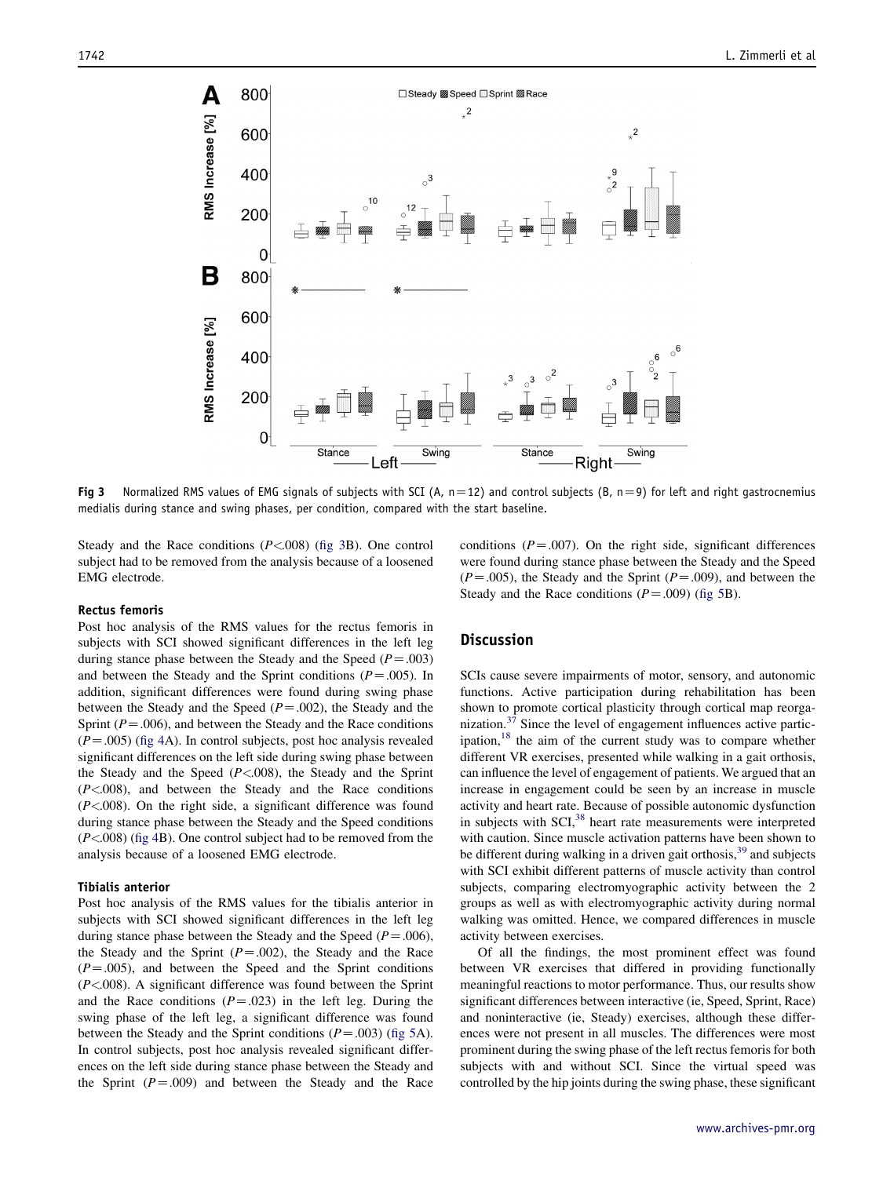<span id="page-5-0"></span>

Fig 3 Normalized RMS values of EMG signals of subjects with SCI (A,  $n=12$ ) and control subjects (B,  $n=9$ ) for left and right gastrocnemius medialis during stance and swing phases, per condition, compared with the start baseline.

Steady and the Race conditions  $(P<.008)$  (fig 3B). One control subject had to be removed from the analysis because of a loosened EMG electrode.

#### Rectus femoris

Post hoc analysis of the RMS values for the rectus femoris in subjects with SCI showed significant differences in the left leg during stance phase between the Steady and the Speed  $(P = .003)$ and between the Steady and the Sprint conditions  $(P = .005)$ . In addition, significant differences were found during swing phase between the Steady and the Speed  $(P=.002)$ , the Steady and the Sprint ( $P = .006$ ), and between the Steady and the Race conditions  $(P=.005)$  [\(fig 4A](#page-6-0)). In control subjects, post hoc analysis revealed significant differences on the left side during swing phase between the Steady and the Speed  $(P<.008)$ , the Steady and the Sprint  $(P<.008)$ , and between the Steady and the Race conditions  $(P<.008)$ . On the right side, a significant difference was found during stance phase between the Steady and the Speed conditions  $(P<.008)$  ([fig 4B](#page-6-0)). One control subject had to be removed from the analysis because of a loosened EMG electrode.

#### Tibialis anterior

Post hoc analysis of the RMS values for the tibialis anterior in subjects with SCI showed significant differences in the left leg during stance phase between the Steady and the Speed ( $P = .006$ ), the Steady and the Sprint  $(P = .002)$ , the Steady and the Race  $(P = .005)$ , and between the Speed and the Sprint conditions  $(P<.008)$ . A significant difference was found between the Sprint and the Race conditions  $(P = .023)$  in the left leg. During the swing phase of the left leg, a significant difference was found between the Steady and the Sprint conditions  $(P=.003)$  [\(fig 5A](#page-6-0)). In control subjects, post hoc analysis revealed significant differences on the left side during stance phase between the Steady and the Sprint  $(P = .009)$  and between the Steady and the Race conditions ( $P = .007$ ). On the right side, significant differences were found during stance phase between the Steady and the Speed  $(P = .005)$ , the Steady and the Sprint  $(P = .009)$ , and between the Steady and the Race conditions  $(P=.009)$  ([fig 5](#page-6-0)B).

# **Discussion**

SCIs cause severe impairments of motor, sensory, and autonomic functions. Active participation during rehabilitation has been shown to promote cortical plasticity through cortical map reorga-nization.<sup>[37](#page-9-0)</sup> Since the level of engagement influences active partic-ipation,<sup>[18](#page-8-0)</sup> the aim of the current study was to compare whether different VR exercises, presented while walking in a gait orthosis, can influence the level of engagement of patients. We argued that an increase in engagement could be seen by an increase in muscle activity and heart rate. Because of possible autonomic dysfunction in subjects with SCI,<sup>[38](#page-9-0)</sup> heart rate measurements were interpreted with caution. Since muscle activation patterns have been shown to be different during walking in a driven gait orthosis,<sup>[39](#page-9-0)</sup> and subjects with SCI exhibit different patterns of muscle activity than control subjects, comparing electromyographic activity between the 2 groups as well as with electromyographic activity during normal walking was omitted. Hence, we compared differences in muscle activity between exercises.

Of all the findings, the most prominent effect was found between VR exercises that differed in providing functionally meaningful reactions to motor performance. Thus, our results show significant differences between interactive (ie, Speed, Sprint, Race) and noninteractive (ie, Steady) exercises, although these differences were not present in all muscles. The differences were most prominent during the swing phase of the left rectus femoris for both subjects with and without SCI. Since the virtual speed was controlled by the hip joints during the swing phase, these significant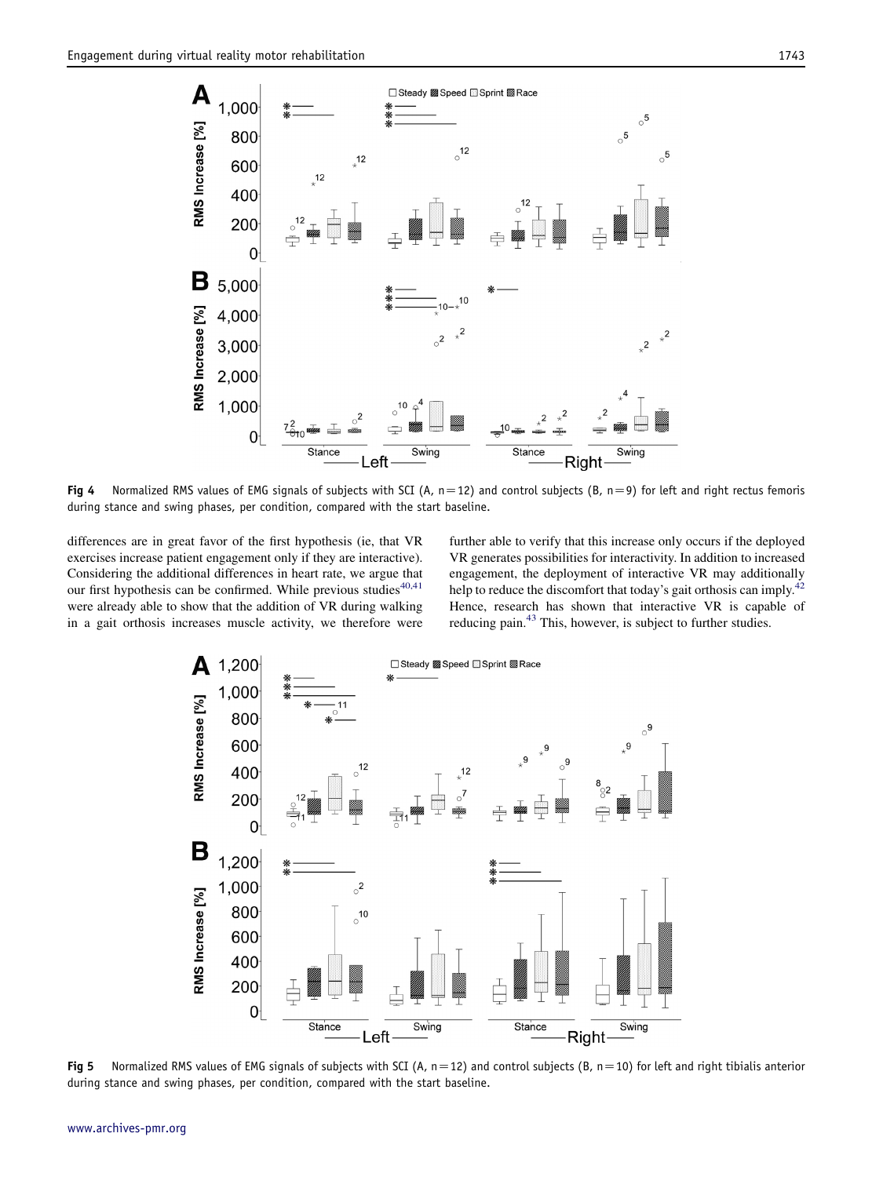<span id="page-6-0"></span>

Fig 4 Normalized RMS values of EMG signals of subjects with SCI (A,  $n=12$ ) and control subjects (B,  $n=9$ ) for left and right rectus femoris during stance and swing phases, per condition, compared with the start baseline.

differences are in great favor of the first hypothesis (ie, that VR exercises increase patient engagement only if they are interactive). Considering the additional differences in heart rate, we argue that our first hypothesis can be confirmed. While previous studies $40,41$ were already able to show that the addition of VR during walking in a gait orthosis increases muscle activity, we therefore were

further able to verify that this increase only occurs if the deployed VR generates possibilities for interactivity. In addition to increased engagement, the deployment of interactive VR may additionally help to reduce the discomfort that today's gait orthosis can imply.<sup>[42](#page-9-0)</sup> Hence, research has shown that interactive VR is capable of reducing pain.<sup>[43](#page-9-0)</sup> This, however, is subject to further studies.



Fig 5 Normalized RMS values of EMG signals of subjects with SCI (A,  $n=12$ ) and control subjects (B,  $n=10$ ) for left and right tibialis anterior during stance and swing phases, per condition, compared with the start baseline.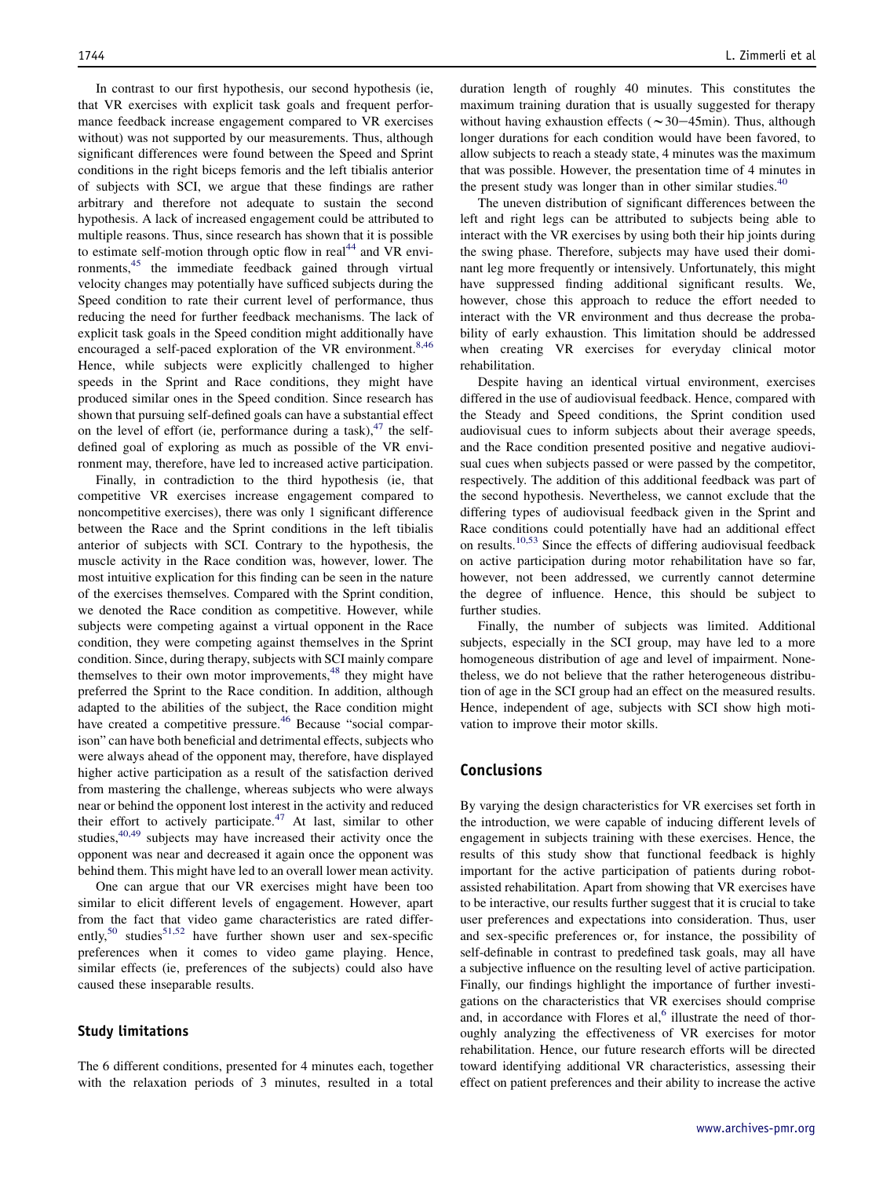In contrast to our first hypothesis, our second hypothesis (ie, that VR exercises with explicit task goals and frequent performance feedback increase engagement compared to VR exercises without) was not supported by our measurements. Thus, although significant differences were found between the Speed and Sprint conditions in the right biceps femoris and the left tibialis anterior of subjects with SCI, we argue that these findings are rather arbitrary and therefore not adequate to sustain the second hypothesis. A lack of increased engagement could be attributed to multiple reasons. Thus, since research has shown that it is possible to estimate self-motion through optic flow in real $^{44}$  $^{44}$  $^{44}$  and VR environments[,45](#page-9-0) the immediate feedback gained through virtual velocity changes may potentially have sufficed subjects during the Speed condition to rate their current level of performance, thus reducing the need for further feedback mechanisms. The lack of explicit task goals in the Speed condition might additionally have encouraged a self-paced exploration of the VR environment.<sup>[8,46](#page-8-0)</sup> Hence, while subjects were explicitly challenged to higher speeds in the Sprint and Race conditions, they might have produced similar ones in the Speed condition. Since research has shown that pursuing self-defined goals can have a substantial effect on the level of effort (ie, performance during a task),  $47$  the selfdefined goal of exploring as much as possible of the VR environment may, therefore, have led to increased active participation.

Finally, in contradiction to the third hypothesis (ie, that competitive VR exercises increase engagement compared to noncompetitive exercises), there was only 1 significant difference between the Race and the Sprint conditions in the left tibialis anterior of subjects with SCI. Contrary to the hypothesis, the muscle activity in the Race condition was, however, lower. The most intuitive explication for this finding can be seen in the nature of the exercises themselves. Compared with the Sprint condition, we denoted the Race condition as competitive. However, while subjects were competing against a virtual opponent in the Race condition, they were competing against themselves in the Sprint condition. Since, during therapy, subjects with SCI mainly compare themselves to their own motor improvements,<sup>[48](#page-9-0)</sup> they might have preferred the Sprint to the Race condition. In addition, although adapted to the abilities of the subject, the Race condition might have created a competitive pressure.<sup>[46](#page-9-0)</sup> Because "social comparison" can have both beneficial and detrimental effects, subjects who were always ahead of the opponent may, therefore, have displayed higher active participation as a result of the satisfaction derived from mastering the challenge, whereas subjects who were always near or behind the opponent lost interest in the activity and reduced their effort to actively participate. $47$  At last, similar to other studies, $40,49$  subjects may have increased their activity once the opponent was near and decreased it again once the opponent was behind them. This might have led to an overall lower mean activity.

One can argue that our VR exercises might have been too similar to elicit different levels of engagement. However, apart from the fact that video game characteristics are rated differ-ently,<sup>[50](#page-9-0)</sup> studies<sup>[51,52](#page-9-0)</sup> have further shown user and sex-specific preferences when it comes to video game playing. Hence, similar effects (ie, preferences of the subjects) could also have caused these inseparable results.

#### Study limitations

The 6 different conditions, presented for 4 minutes each, together with the relaxation periods of 3 minutes, resulted in a total duration length of roughly 40 minutes. This constitutes the maximum training duration that is usually suggested for therapy without having exhaustion effects ( $\sim$ 30–45min). Thus, although longer durations for each condition would have been favored, to allow subjects to reach a steady state, 4 minutes was the maximum that was possible. However, the presentation time of 4 minutes in the present study was longer than in other similar studies. $40$ 

The uneven distribution of significant differences between the left and right legs can be attributed to subjects being able to interact with the VR exercises by using both their hip joints during the swing phase. Therefore, subjects may have used their dominant leg more frequently or intensively. Unfortunately, this might have suppressed finding additional significant results. We, however, chose this approach to reduce the effort needed to interact with the VR environment and thus decrease the probability of early exhaustion. This limitation should be addressed when creating VR exercises for everyday clinical motor rehabilitation.

Despite having an identical virtual environment, exercises differed in the use of audiovisual feedback. Hence, compared with the Steady and Speed conditions, the Sprint condition used audiovisual cues to inform subjects about their average speeds, and the Race condition presented positive and negative audiovisual cues when subjects passed or were passed by the competitor, respectively. The addition of this additional feedback was part of the second hypothesis. Nevertheless, we cannot exclude that the differing types of audiovisual feedback given in the Sprint and Race conditions could potentially have had an additional effect on results.<sup>[10,53](#page-8-0)</sup> Since the effects of differing audiovisual feedback on active participation during motor rehabilitation have so far, however, not been addressed, we currently cannot determine the degree of influence. Hence, this should be subject to further studies.

Finally, the number of subjects was limited. Additional subjects, especially in the SCI group, may have led to a more homogeneous distribution of age and level of impairment. Nonetheless, we do not believe that the rather heterogeneous distribution of age in the SCI group had an effect on the measured results. Hence, independent of age, subjects with SCI show high motivation to improve their motor skills.

#### Conclusions

By varying the design characteristics for VR exercises set forth in the introduction, we were capable of inducing different levels of engagement in subjects training with these exercises. Hence, the results of this study show that functional feedback is highly important for the active participation of patients during robotassisted rehabilitation. Apart from showing that VR exercises have to be interactive, our results further suggest that it is crucial to take user preferences and expectations into consideration. Thus, user and sex-specific preferences or, for instance, the possibility of self-definable in contrast to predefined task goals, may all have a subjective influence on the resulting level of active participation. Finally, our findings highlight the importance of further investigations on the characteristics that VR exercises should comprise and, in accordance with Flores et al, $<sup>6</sup>$  $<sup>6</sup>$  $<sup>6</sup>$  illustrate the need of thor-</sup> oughly analyzing the effectiveness of VR exercises for motor rehabilitation. Hence, our future research efforts will be directed toward identifying additional VR characteristics, assessing their effect on patient preferences and their ability to increase the active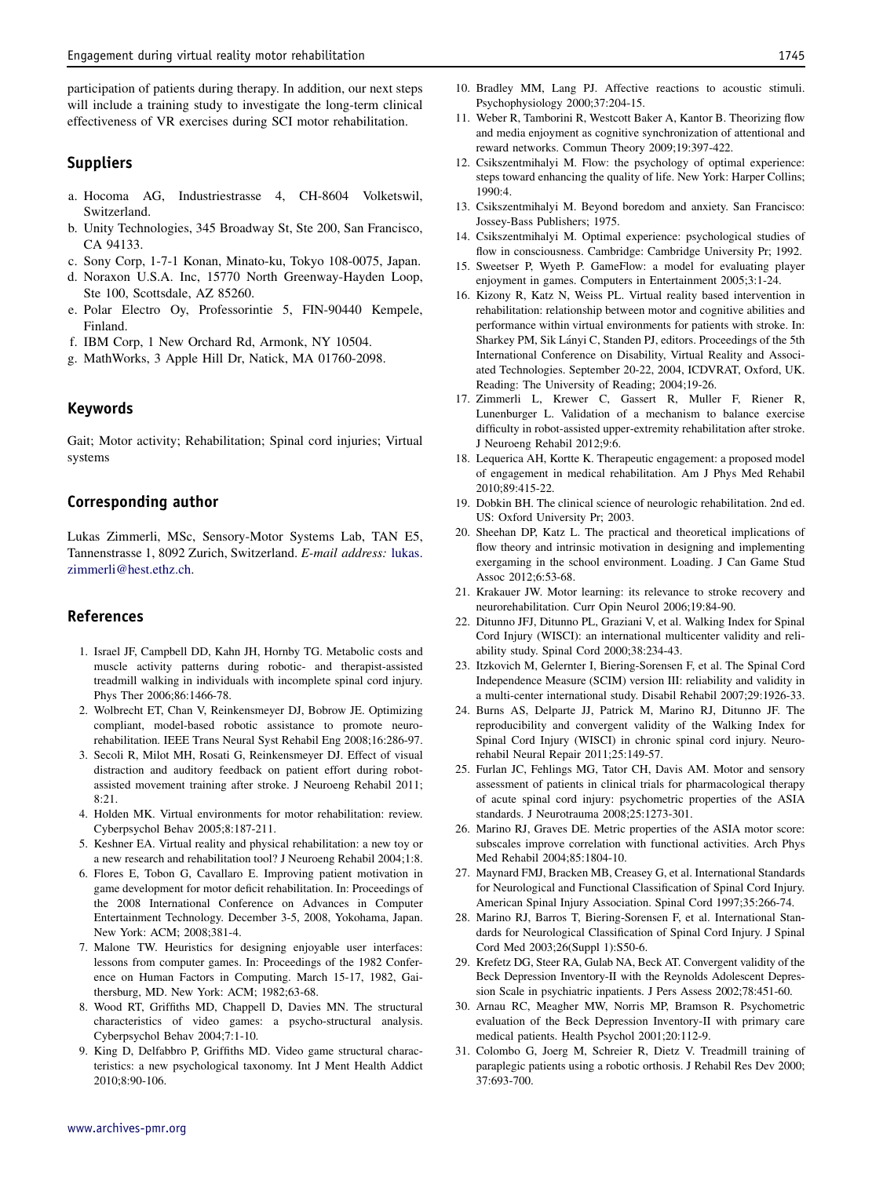<span id="page-8-0"></span>participation of patients during therapy. In addition, our next steps will include a training study to investigate the long-term clinical effectiveness of VR exercises during SCI motor rehabilitation.

# Suppliers

- a. Hocoma AG, Industriestrasse 4, CH-8604 Volketswil, Switzerland.
- b. Unity Technologies, 345 Broadway St, Ste 200, San Francisco, CA 94133.
- c. Sony Corp, 1-7-1 Konan, Minato-ku, Tokyo 108-0075, Japan.
- d. Noraxon U.S.A. Inc, 15770 North Greenway-Hayden Loop, Ste 100, Scottsdale, AZ 85260.
- e. Polar Electro Oy, Professorintie 5, FIN-90440 Kempele, Finland.
- f. IBM Corp, 1 New Orchard Rd, Armonk, NY 10504.
- g. MathWorks, 3 Apple Hill Dr, Natick, MA 01760-2098.

# Keywords

Gait; Motor activity; Rehabilitation; Spinal cord injuries; Virtual systems

# Corresponding author

Lukas Zimmerli, MSc, Sensory-Motor Systems Lab, TAN E5, Tannenstrasse 1, 8092 Zurich, Switzerland. E-mail address: [lukas.](mailto:lukas.zimmerli@hest.ethz.ch) [zimmerli@hest.ethz.ch](mailto:lukas.zimmerli@hest.ethz.ch).

# References

- 1. Israel JF, Campbell DD, Kahn JH, Hornby TG. Metabolic costs and muscle activity patterns during robotic- and therapist-assisted treadmill walking in individuals with incomplete spinal cord injury. Phys Ther 2006;86:1466-78.
- 2. Wolbrecht ET, Chan V, Reinkensmeyer DJ, Bobrow JE. Optimizing compliant, model-based robotic assistance to promote neurorehabilitation. IEEE Trans Neural Syst Rehabil Eng 2008;16:286-97.
- 3. Secoli R, Milot MH, Rosati G, Reinkensmeyer DJ. Effect of visual distraction and auditory feedback on patient effort during robotassisted movement training after stroke. J Neuroeng Rehabil 2011; 8:21.
- 4. Holden MK. Virtual environments for motor rehabilitation: review. Cyberpsychol Behav 2005;8:187-211.
- 5. Keshner EA. Virtual reality and physical rehabilitation: a new toy or a new research and rehabilitation tool? J Neuroeng Rehabil 2004;1:8.
- 6. Flores E, Tobon G, Cavallaro E. Improving patient motivation in game development for motor deficit rehabilitation. In: Proceedings of the 2008 International Conference on Advances in Computer Entertainment Technology. December 3-5, 2008, Yokohama, Japan. New York: ACM; 2008;381-4.
- 7. Malone TW. Heuristics for designing enjoyable user interfaces: lessons from computer games. In: Proceedings of the 1982 Conference on Human Factors in Computing. March 15-17, 1982, Gaithersburg, MD. New York: ACM; 1982;63-68.
- 8. Wood RT, Griffiths MD, Chappell D, Davies MN. The structural characteristics of video games: a psycho-structural analysis. Cyberpsychol Behav 2004;7:1-10.
- 9. King D, Delfabbro P, Griffiths MD. Video game structural characteristics: a new psychological taxonomy. Int J Ment Health Addict 2010;8:90-106.
- 10. Bradley MM, Lang PJ. Affective reactions to acoustic stimuli. Psychophysiology 2000;37:204-15.
- 11. Weber R, Tamborini R, Westcott Baker A, Kantor B. Theorizing flow and media enjoyment as cognitive synchronization of attentional and reward networks. Commun Theory 2009;19:397-422.
- 12. Csikszentmihalyi M. Flow: the psychology of optimal experience: steps toward enhancing the quality of life. New York: Harper Collins; 1990:4.
- 13. Csikszentmihalyi M. Beyond boredom and anxiety. San Francisco: Jossey-Bass Publishers; 1975.
- 14. Csikszentmihalyi M. Optimal experience: psychological studies of flow in consciousness. Cambridge: Cambridge University Pr; 1992.
- 15. Sweetser P, Wyeth P. GameFlow: a model for evaluating player enjoyment in games. Computers in Entertainment 2005;3:1-24.
- 16. Kizony R, Katz N, Weiss PL. Virtual reality based intervention in rehabilitation: relationship between motor and cognitive abilities and performance within virtual environments for patients with stroke. In: Sharkey PM, Sik Lányi C, Standen PJ, editors. Proceedings of the 5th International Conference on Disability, Virtual Reality and Associated Technologies. September 20-22, 2004, ICDVRAT, Oxford, UK. Reading: The University of Reading; 2004;19-26.
- 17. Zimmerli L, Krewer C, Gassert R, Muller F, Riener R, Lunenburger L. Validation of a mechanism to balance exercise difficulty in robot-assisted upper-extremity rehabilitation after stroke. J Neuroeng Rehabil 2012;9:6.
- 18. Lequerica AH, Kortte K. Therapeutic engagement: a proposed model of engagement in medical rehabilitation. Am J Phys Med Rehabil 2010;89:415-22.
- 19. Dobkin BH. The clinical science of neurologic rehabilitation. 2nd ed. US: Oxford University Pr; 2003.
- 20. Sheehan DP, Katz L. The practical and theoretical implications of flow theory and intrinsic motivation in designing and implementing exergaming in the school environment. Loading. J Can Game Stud Assoc 2012;6:53-68.
- 21. Krakauer JW. Motor learning: its relevance to stroke recovery and neurorehabilitation. Curr Opin Neurol 2006;19:84-90.
- 22. Ditunno JFJ, Ditunno PL, Graziani V, et al. Walking Index for Spinal Cord Injury (WISCI): an international multicenter validity and reliability study. Spinal Cord 2000;38:234-43.
- 23. Itzkovich M, Gelernter I, Biering-Sorensen F, et al. The Spinal Cord Independence Measure (SCIM) version III: reliability and validity in a multi-center international study. Disabil Rehabil 2007;29:1926-33.
- 24. Burns AS, Delparte JJ, Patrick M, Marino RJ, Ditunno JF. The reproducibility and convergent validity of the Walking Index for Spinal Cord Injury (WISCI) in chronic spinal cord injury. Neurorehabil Neural Repair 2011;25:149-57.
- 25. Furlan JC, Fehlings MG, Tator CH, Davis AM. Motor and sensory assessment of patients in clinical trials for pharmacological therapy of acute spinal cord injury: psychometric properties of the ASIA standards. J Neurotrauma 2008;25:1273-301.
- 26. Marino RJ, Graves DE. Metric properties of the ASIA motor score: subscales improve correlation with functional activities. Arch Phys Med Rehabil 2004;85:1804-10.
- 27. Maynard FMJ, Bracken MB, Creasey G, et al. International Standards for Neurological and Functional Classification of Spinal Cord Injury. American Spinal Injury Association. Spinal Cord 1997;35:266-74.
- 28. Marino RJ, Barros T, Biering-Sorensen F, et al. International Standards for Neurological Classification of Spinal Cord Injury. J Spinal Cord Med 2003;26(Suppl 1):S50-6.
- 29. Krefetz DG, Steer RA, Gulab NA, Beck AT. Convergent validity of the Beck Depression Inventory-II with the Reynolds Adolescent Depression Scale in psychiatric inpatients. J Pers Assess 2002;78:451-60.
- 30. Arnau RC, Meagher MW, Norris MP, Bramson R. Psychometric evaluation of the Beck Depression Inventory-II with primary care medical patients. Health Psychol 2001;20:112-9.
- 31. Colombo G, Joerg M, Schreier R, Dietz V. Treadmill training of paraplegic patients using a robotic orthosis. J Rehabil Res Dev 2000; 37:693-700.